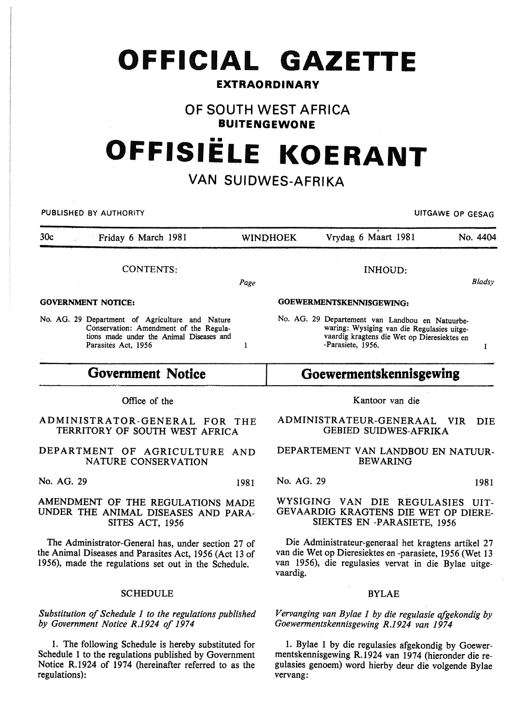# **OFFICIAL GAZETTE**

### **EXTRAORDINARY**

### **OF SOUTH WEST AFRICA BUITENGEWONE**

# •• **OFFISIELE KOERANT**

# **VAN SUIDWES-AFRIKA**

PUBLISHED BY AUTHORITY **EXAGGED AS A SECULIAR CONTROL** 

 $\mathbf{I}$ 

| 30 <sub>c</sub><br>Friday 6 March 1981          | <b>WINDHOEK</b> | Vrydag 6 Maart 1981                             | No. 4404 |
|-------------------------------------------------|-----------------|-------------------------------------------------|----------|
|                                                 |                 |                                                 |          |
| <b>CONTENTS:</b>                                |                 | INHOUD:                                         |          |
|                                                 | Page            |                                                 | Bladsv   |
| <b>GOVERNMENT NOTICE:</b>                       |                 | GOEWERMENTSKENNISGEWING:                        |          |
| No. AG. 29 Department of Agriculture and Nature |                 | No. AG. 29 Departement van Landbou en Natuurbe- |          |

No. AG. 29 Departement van Landbou en Natuurbewaring: Wysiging van die Regulasies uitgevaardig kragtens die Wet op Dieresiektes en -Parasiete, 1956.

## **Goewermentskennisgewing**

#### Office of the

**Government Notice** 

ADMINISTRATOR-GENERAL FOR THE TERRITORY OF SOUTH WEST AFRICA

DEPARTMENT OF AGRICULTURE AND NATURE CONSERVATION

No. AG. 29 1981

#### AMENDMENT OF THE REGULATIONS MADE UNDER THE ANIMAL DISEASES AND PARA-SITES ACT, 1956

The Administrator-General has, under section 27 of the Animal Diseases and Parasites Act, 1956 (Act 13 of 1956), made the regulations set out in the Schedule.

#### **SCHEDULE**

*Substitution of Schedule 1 to the regulations published by Government Notice R.1924 of 1974* 

1. The following Schedule is hereby substituted for Schedule 1 to the regulations published by Government Notice R.1924 of 1974 (hereinafter referred to as the regulations):

Kantoor van die

ADMINISTRATEUR-GENERAAL VIR DIE GEBIED SUIDWES-AFRIKA

DEPARTEMENT VAN LANDBOU EN NATUUR-BEWARING

No. AG. 29 1981

#### WYSIGING VAN DIE REGULASIES UIT-GEV AARDIG KRAGTENS DIE WET OP DIERE-SIEKTES EN -PARASIETE, 1956

Die Administrateur-generaal het kragtens artikel 27 van die Wet op Dieresiektes en -parasiete, 1956 (Wet 13 van 1956), die regulasies vervat in die Bylae uitgevaardig.

#### BYLAE

*Vervanging van Bylae 1 by die regulasie afgekondig by Goewermentskennisgewing R.1924 van 1974* 

I. Bylae 1 by die regulasies afgekondig by Goewermentskennisgewing R.1924 van 1974 (hieronder die regulasies genoem) word hierby deur die volgende Bylae vervang:

 $\mathbf{I}$ 

tions made under the Animal Diseases and Parasites Act, 1956

Conservation: Amendment of the Regula-